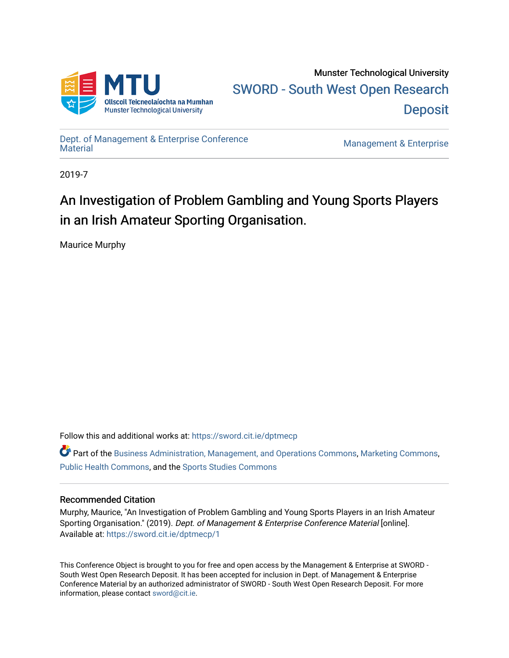

[Dept. of Management & Enterprise Conference](https://sword.cit.ie/dptmecp) 

Management & Enterprise

2019-7

# An Investigation of Problem Gambling and Young Sports Players in an Irish Amateur Sporting Organisation.

Maurice Murphy

Follow this and additional works at: [https://sword.cit.ie/dptmecp](https://sword.cit.ie/dptmecp?utm_source=sword.cit.ie%2Fdptmecp%2F1&utm_medium=PDF&utm_campaign=PDFCoverPages) 

 $\bullet$  Part of the [Business Administration, Management, and Operations Commons](http://network.bepress.com/hgg/discipline/623?utm_source=sword.cit.ie%2Fdptmecp%2F1&utm_medium=PDF&utm_campaign=PDFCoverPages), [Marketing Commons](http://network.bepress.com/hgg/discipline/638?utm_source=sword.cit.ie%2Fdptmecp%2F1&utm_medium=PDF&utm_campaign=PDFCoverPages), [Public Health Commons,](http://network.bepress.com/hgg/discipline/738?utm_source=sword.cit.ie%2Fdptmecp%2F1&utm_medium=PDF&utm_campaign=PDFCoverPages) and the [Sports Studies Commons](http://network.bepress.com/hgg/discipline/1198?utm_source=sword.cit.ie%2Fdptmecp%2F1&utm_medium=PDF&utm_campaign=PDFCoverPages)

# Recommended Citation

Murphy, Maurice, "An Investigation of Problem Gambling and Young Sports Players in an Irish Amateur Sporting Organisation." (2019). Dept. of Management & Enterprise Conference Material [online]. Available at: [https://sword.cit.ie/dptmecp/1](https://sword.cit.ie/dptmecp/1?utm_source=sword.cit.ie%2Fdptmecp%2F1&utm_medium=PDF&utm_campaign=PDFCoverPages) 

This Conference Object is brought to you for free and open access by the Management & Enterprise at SWORD - South West Open Research Deposit. It has been accepted for inclusion in Dept. of Management & Enterprise Conference Material by an authorized administrator of SWORD - South West Open Research Deposit. For more information, please contact [sword@cit.ie](mailto:sword@cit.ie).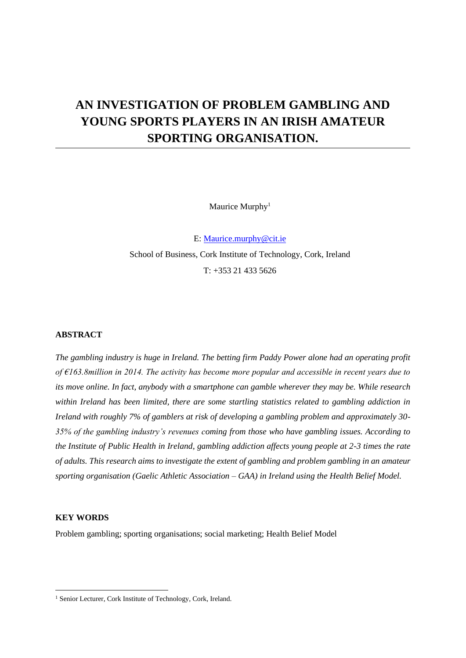# **AN INVESTIGATION OF PROBLEM GAMBLING AND YOUNG SPORTS PLAYERS IN AN IRISH AMATEUR SPORTING ORGANISATION.**

Maurice Murphy<sup>1</sup>

E: [Maurice.murphy@cit.ie](mailto:Maurice.murphy@cit.ie) School of Business, Cork Institute of Technology, Cork, Ireland  $T: +353214335626$ 

## **ABSTRACT**

*The gambling industry is huge in Ireland. The betting firm Paddy Power alone had an operating profit of €163.8million in 2014. The activity has become more popular and accessible in recent years due to its move online. In fact, anybody with a smartphone can gamble wherever they may be. While research within Ireland has been limited, there are some startling statistics related to gambling addiction in Ireland with roughly 7% of gamblers at risk of developing a gambling problem and approximately 30- 35% of the gambling industry's revenues coming from those who have gambling issues. According to the Institute of Public Health in Ireland, gambling addiction affects young people at 2-3 times the rate of adults. This research aims to investigate the extent of gambling and problem gambling in an amateur sporting organisation (Gaelic Athletic Association – GAA) in Ireland using the Health Belief Model.*

### **KEY WORDS**

Problem gambling; sporting organisations; social marketing; Health Belief Model

<sup>1</sup> Senior Lecturer, Cork Institute of Technology, Cork, Ireland.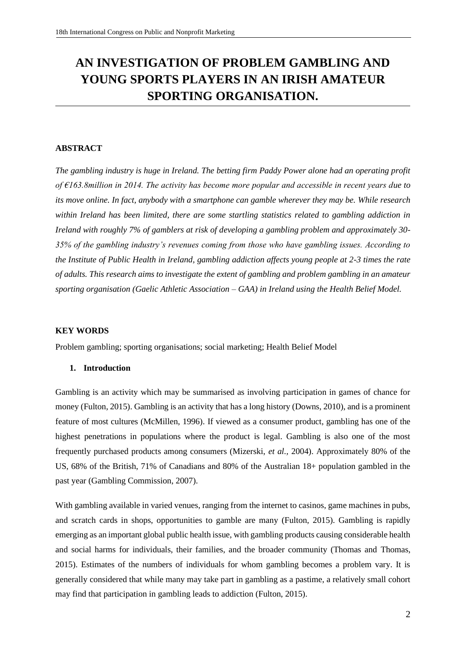# **AN INVESTIGATION OF PROBLEM GAMBLING AND YOUNG SPORTS PLAYERS IN AN IRISH AMATEUR SPORTING ORGANISATION.**

## **ABSTRACT**

*The gambling industry is huge in Ireland. The betting firm Paddy Power alone had an operating profit of €163.8million in 2014. The activity has become more popular and accessible in recent years due to its move online. In fact, anybody with a smartphone can gamble wherever they may be. While research within Ireland has been limited, there are some startling statistics related to gambling addiction in Ireland with roughly 7% of gamblers at risk of developing a gambling problem and approximately 30- 35% of the gambling industry's revenues coming from those who have gambling issues. According to the Institute of Public Health in Ireland, gambling addiction affects young people at 2-3 times the rate of adults. This research aims to investigate the extent of gambling and problem gambling in an amateur sporting organisation (Gaelic Athletic Association – GAA) in Ireland using the Health Belief Model.*

### **KEY WORDS**

Problem gambling; sporting organisations; social marketing; Health Belief Model

### **1. Introduction**

Gambling is an activity which may be summarised as involving participation in games of chance for money (Fulton, 2015). Gambling is an activity that has a long history (Downs, 2010), and is a prominent feature of most cultures (McMillen, 1996). If viewed as a consumer product, gambling has one of the highest penetrations in populations where the product is legal. Gambling is also one of the most frequently purchased products among consumers (Mizerski, *et al.,* 2004). Approximately 80% of the US, 68% of the British, 71% of Canadians and 80% of the Australian 18+ population gambled in the past year (Gambling Commission, 2007).

With gambling available in varied venues, ranging from the internet to casinos, game machines in pubs, and scratch cards in shops, opportunities to gamble are many (Fulton, 2015). Gambling is rapidly emerging as an important global public health issue, with gambling products causing considerable health and social harms for individuals, their families, and the broader community (Thomas and Thomas, 2015). Estimates of the numbers of individuals for whom gambling becomes a problem vary. It is generally considered that while many may take part in gambling as a pastime, a relatively small cohort may find that participation in gambling leads to addiction (Fulton, 2015).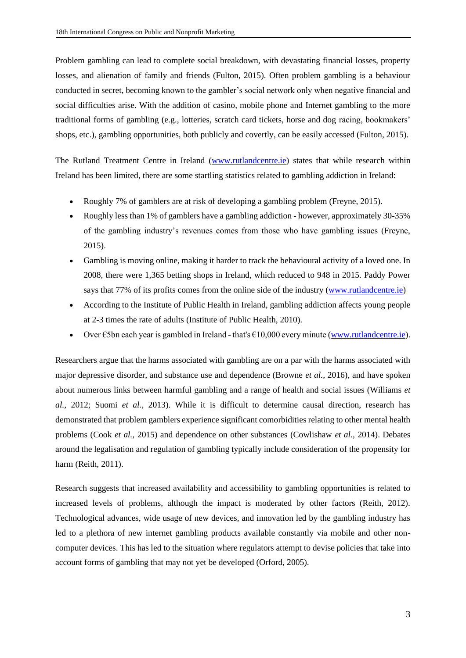Problem gambling can lead to complete social breakdown, with devastating financial losses, property losses, and alienation of family and friends (Fulton, 2015). Often problem gambling is a behaviour conducted in secret, becoming known to the gambler's social network only when negative financial and social difficulties arise. With the addition of casino, mobile phone and Internet gambling to the more traditional forms of gambling (e.g., lotteries, scratch card tickets, horse and dog racing, bookmakers' shops, etc.), gambling opportunities, both publicly and covertly, can be easily accessed (Fulton, 2015).

The Rutland Treatment Centre in Ireland [\(www.rutlandcentre.ie\)](http://www.rutlandcentre.ie/) states that while research within Ireland has been limited, there are some startling statistics related to gambling addiction in Ireland:

- Roughly 7% of gamblers are at risk of developing a gambling problem (Freyne, 2015).
- Roughly less than 1% of gamblers have a gambling addiction however, approximately 30-35% of the gambling industry's revenues comes from those who have gambling issues (Freyne, 2015).
- Gambling is moving online, making it harder to track the behavioural activity of a loved one. In 2008, there were 1,365 betting shops in Ireland, which reduced to 948 in 2015. Paddy Power says that 77% of its profits comes from the online side of the industry [\(www.rutlandcentre.ie\)](http://www.rutlandcentre.ie/)
- According to the Institute of Public Health in Ireland, gambling addiction affects young people at 2-3 times the rate of adults (Institute of Public Health, 2010).
- Over €5bn each year is gambled in Ireland that's €10,000 every minute [\(www.rutlandcentre.ie\)](http://www.rutlandcentre.ie/).

Researchers argue that the harms associated with gambling are on a par with the harms associated with major depressive disorder, and substance use and dependence (Browne *et al.,* 2016), and have spoken about numerous links between harmful gambling and a range of health and social issues (Williams *et al.,* 2012; Suomi *et al.,* 2013). While it is difficult to determine causal direction, research has demonstrated that problem gamblers experience significant comorbidities relating to other mental health problems (Cook *et al.,* 2015) and dependence on other substances (Cowlishaw *et al.,* 2014). Debates around the legalisation and regulation of gambling typically include consideration of the propensity for harm (Reith, 2011).

Research suggests that increased availability and accessibility to gambling opportunities is related to increased levels of problems, although the impact is moderated by other factors (Reith, 2012). Technological advances, wide usage of new devices, and innovation led by the gambling industry has led to a plethora of new internet gambling products available constantly via mobile and other noncomputer devices. This has led to the situation where regulators attempt to devise policies that take into account forms of gambling that may not yet be developed (Orford, 2005).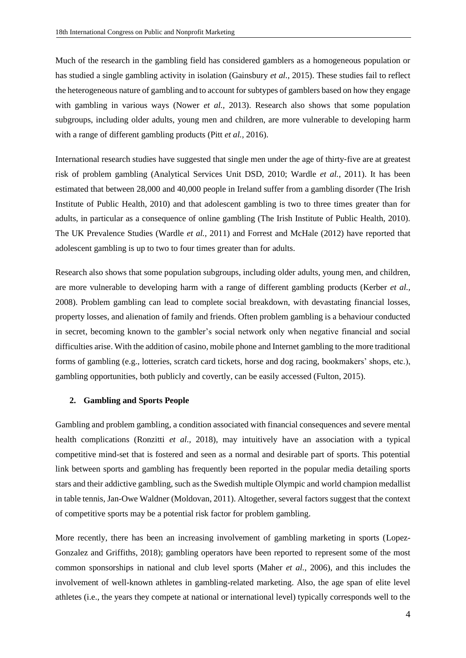Much of the research in the gambling field has considered gamblers as a homogeneous population or has studied a single gambling activity in isolation (Gainsbury *et al.,* 2015). These studies fail to reflect the heterogeneous nature of gambling and to account for subtypes of gamblers based on how they engage with gambling in various ways (Nower *et al.*, 2013). Research also shows that some population subgroups, including older adults, young men and children, are more vulnerable to developing harm with a range of different gambling products (Pitt *et al.,* 2016).

International research studies have suggested that single men under the age of thirty‐five are at greatest risk of problem gambling (Analytical Services Unit DSD, 2010; Wardle *et al.*, 2011). It has been estimated that between 28,000 and 40,000 people in Ireland suffer from a gambling disorder (The Irish Institute of Public Health, 2010) and that adolescent gambling is two to three times greater than for adults, in particular as a consequence of online gambling (The Irish Institute of Public Health, 2010). The UK Prevalence Studies (Wardle *et al.,* 2011) and Forrest and McHale (2012) have reported that adolescent gambling is up to two to four times greater than for adults.

Research also shows that some population subgroups, including older adults, young men, and children, are more vulnerable to developing harm with a range of different gambling products (Kerber *et al.,* 2008). Problem gambling can lead to complete social breakdown, with devastating financial losses, property losses, and alienation of family and friends. Often problem gambling is a behaviour conducted in secret, becoming known to the gambler's social network only when negative financial and social difficulties arise. With the addition of casino, mobile phone and Internet gambling to the more traditional forms of gambling (e.g., lotteries, scratch card tickets, horse and dog racing, bookmakers' shops, etc.), gambling opportunities, both publicly and covertly, can be easily accessed (Fulton, 2015).

#### **2. Gambling and Sports People**

Gambling an[d problem gambling,](https://www.sciencedirect.com/topics/medicine-and-dentistry/problem-gambling) a condition associated with financial consequences and severe mental health complications [\(Ronzitti](https://www.sciencedirect.com/science/article/pii/S235285321830107X#bb0225) *et al.,* 2018), may intuitively have an association with a typical competitive [mind-set](https://www.sciencedirect.com/topics/psychology/mindset) that is fostered and seen as a normal and desirable part of sports. This potential link between sports and gambling has frequently been reported in the popular media detailing sports stars and their addictive gambling, such as the Swedish multiple Olympic and world champion medallist in [table tennis,](https://www.sciencedirect.com/topics/psychology/table-tennis) Jan-Owe Waldner [\(Moldovan, 2011\)](https://www.sciencedirect.com/science/article/pii/S235285321830107X#bb0190). Altogether, several factors suggest that the context of competitive sports may be a potential risk factor for problem gambling.

More recently, there has been an increasing involvement of gambling marketing in sports [\(Lopez-](https://www.sciencedirect.com/science/article/pii/S235285321830107X#bb0155)[Gonzalez and Griffiths, 2018\)](https://www.sciencedirect.com/science/article/pii/S235285321830107X#bb0155); gambling operators have been reported to represent some of the most common sponsorships in national and club level sports [\(Maher](https://www.sciencedirect.com/science/article/pii/S235285321830107X#bb0160) *et al.,* 2006), and this includes the involvement of well-known athletes in gambling-related marketing. Also, the age span of elite level athletes (i.e., the years they compete at national or international level) typically corresponds well to the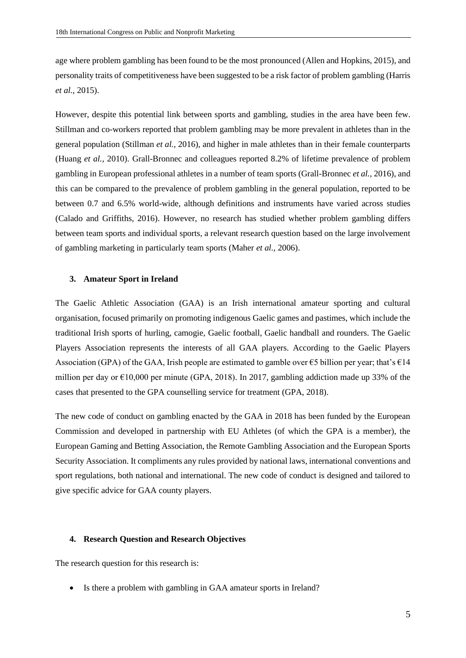age where problem gambling has been found to be the most pronounced (Allen and [Hopkins, 2015\)](https://www.sciencedirect.com/science/article/pii/S235285321830107X#bb8005), and personality traits of competitiveness have been suggested to be a risk factor of problem gambling [\(Harris](https://www.sciencedirect.com/science/article/pii/S235285321830107X#bb0110)  *[et al.,](https://www.sciencedirect.com/science/article/pii/S235285321830107X#bb0110)* 2015).

However, despite this potential link between sports and gambling, studies in the area have been few. Stillman and co-workers reported that problem gambling may be more prevalent in athletes than in the general population [\(Stillman](https://www.sciencedirect.com/science/article/pii/S235285321830107X#bb0245) *et al.,* 2016), and higher in male athletes than in their female counterparts [\(Huang](https://www.sciencedirect.com/science/article/pii/S235285321830107X#bb0115) *et al.,* 2010). Grall-Bronnec and colleagues reported 8.2% of [lifetime](https://www.sciencedirect.com/topics/medicine-and-dentistry/lifespan) prevalence of problem gambling in European professional athletes in a number of team sports [\(Grall-Bronnec](https://www.sciencedirect.com/science/article/pii/S235285321830107X#bb0085) *et al.,* 2016), and this can be compared to the prevalence of problem gambling in the general population, reported to be between 0.7 and 6.5% world-wide, although definitions and instruments have varied across studies [\(Calado and Griffiths, 2016\)](https://www.sciencedirect.com/science/article/pii/S235285321830107X#bb0035). However, no research has studied whether problem gambling differs between team sports and individual sports, a relevant research question based on the large involvement of gambling marketing in particularly team sports [\(Maher](https://www.sciencedirect.com/science/article/pii/S235285321830107X#bb0160) *et al.,* 2006).

#### **3. Amateur Sport in Ireland**

The Gaelic Athletic Association (GAA) is an Irish international amateur sporting and cultural organisation, focused primarily on promoting indigenous Gaelic games and pastimes, which include the traditional Irish sports of hurling, camogie, Gaelic football, Gaelic handball and rounders. The Gaelic Players Association represents the interests of all GAA players. According to the Gaelic Players Association (GPA) of the GAA, Irish people are estimated to gamble over  $\epsilon$ 5 billion per year; that's  $\epsilon$ 14 million per day or €10,000 per minute (GPA, 2018). In 2017, gambling addiction made up 33% of the cases that presented to the GPA counselling service for treatment (GPA, 2018).

The new code of conduct on gambling enacted by the GAA in 2018 has been funded by the European Commission and developed in partnership with EU Athletes (of which the GPA is a member), the European Gaming and Betting Association, the Remote Gambling Association and the European Sports Security Association. It compliments any rules provided by national laws, international conventions and sport regulations, both national and international. The new code of conduct is designed and tailored to give specific advice for GAA county players.

#### **4. Research Question and Research Objectives**

The research question for this research is:

• Is there a problem with gambling in GAA amateur sports in Ireland?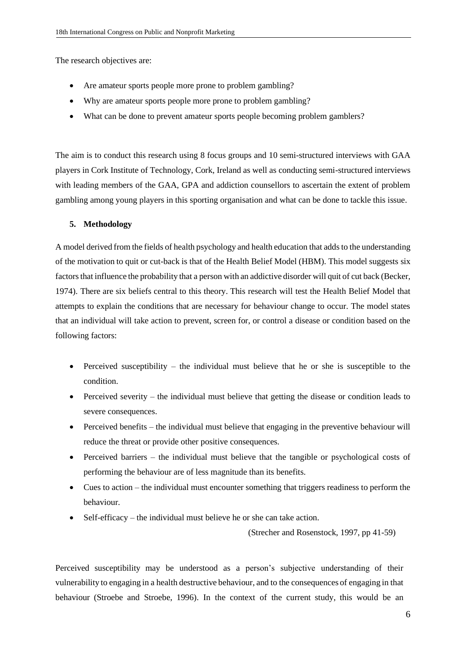The research objectives are:

- Are amateur sports people more prone to problem gambling?
- Why are amateur sports people more prone to problem gambling?
- What can be done to prevent amateur sports people becoming problem gamblers?

The aim is to conduct this research using 8 focus groups and 10 semi-structured interviews with GAA players in Cork Institute of Technology, Cork, Ireland as well as conducting semi-structured interviews with leading members of the GAA, GPA and addiction counsellors to ascertain the extent of problem gambling among young players in this sporting organisation and what can be done to tackle this issue.

## **5. Methodology**

A model derived from the fields of health psychology and health education that adds to the understanding of the motivation to quit or cut-back is that of the Health Belief Model (HBM). This model suggests six factors that influence the probability that a person with an addictive disorder will quit of cut back (Becker, 1974). There are six beliefs central to this theory. This research will test the Health Belief Model that attempts to explain the conditions that are necessary for behaviour change to occur. The model states that an individual will take action to prevent, screen for, or control a disease or condition based on the following factors:

- Perceived susceptibility the individual must believe that he or she is susceptible to the condition.
- Perceived severity the individual must believe that getting the disease or condition leads to severe consequences.
- Perceived benefits the individual must believe that engaging in the preventive behaviour will reduce the threat or provide other positive consequences.
- Perceived barriers the individual must believe that the tangible or psychological costs of performing the behaviour are of less magnitude than its benefits.
- Cues to action the individual must encounter something that triggers readiness to perform the behaviour.
- Self-efficacy the individual must believe he or she can take action.

(Strecher and Rosenstock, 1997, pp 41-59)

Perceived susceptibility may be understood as a person's subjective understanding of their vulnerability to engaging in a health destructive behaviour, and to the consequences of engaging in that behaviour (Stroebe and Stroebe, 1996). In the context of the current study, this would be an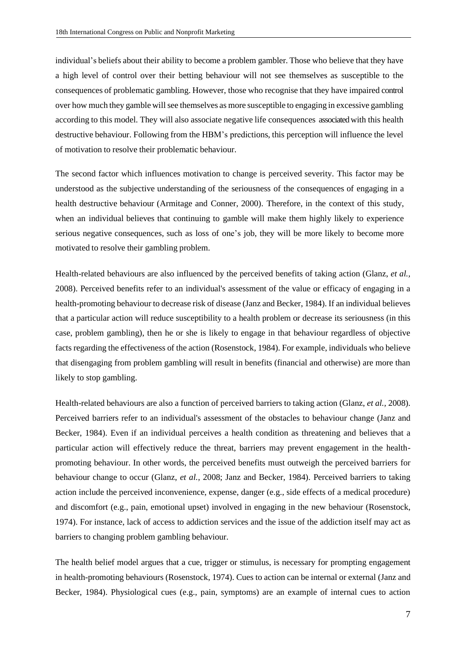individual's beliefs about their ability to become a problem gambler. Those who believe that they have a high level of control over their betting behaviour will not see themselves as susceptible to the consequences of problematic gambling. However, those who recognise that they have impaired control over how much they gamble willsee themselves as more susceptible to engaging in excessive gambling according to this model. They will also associate negative life consequences associated with this health destructive behaviour. Following from the HBM's predictions, this perception will influence the level of motivation to resolve their problematic behaviour.

The second factor which influences motivation to change is perceived severity. This factor may be understood as the subjective understanding of the seriousness of the consequences of engaging in a health destructive behaviour (Armitage and Conner, 2000). Therefore, in the context of this study, when an individual believes that continuing to gamble will make them highly likely to experience serious negative consequences, such as loss of one's job, they will be more likely to become more motivated to resolve their gambling problem.

Health-related behaviours are also influenced by the perceived benefits of taking action (Glanz, *et al.,* 2008). Perceived benefits refer to an individual's assessment of the value or efficacy of engaging in a health-promoting behaviour to decrease risk of disease (Janz and Becker, 1984). If an individual believes that a particular action will reduce susceptibility to a health problem or decrease its seriousness (in this case, problem gambling), then he or she is likely to engage in that behaviour regardless of objective facts regarding the effectiveness of the action (Rosenstock, 1984). For example, individuals who believe that disengaging from problem gambling will result in benefits (financial and otherwise) are more than likely to stop gambling.

Health-related behaviours are also a function of perceived barriers to taking action (Glanz, *et al.,* 2008). Perceived barriers refer to an individual's assessment of the obstacles to behaviour change (Janz and Becker, 1984). Even if an individual perceives a health condition as threatening and believes that a particular action will effectively reduce the threat, barriers may prevent engagement in the healthpromoting behaviour. In other words, the perceived benefits must outweigh the perceived barriers for behaviour change to occur (Glanz, *et al.,* 2008; Janz and Becker, 1984). Perceived barriers to taking action include the perceived inconvenience, expense, danger (e.g., side effects of a medical procedure) and discomfort (e.g., pain, emotional upset) involved in engaging in the new behaviour (Rosenstock, 1974). For instance, lack of access to addiction services and the issue of the addiction itself may act as barriers to changing problem gambling behaviour.

The health belief model argues that a cue, trigger or stimulus, is necessary for prompting engagement in health-promoting behaviours (Rosenstock, 1974). Cues to action can be internal or external (Janz and Becker, 1984). Physiological cues (e.g., pain, symptoms) are an example of internal cues to action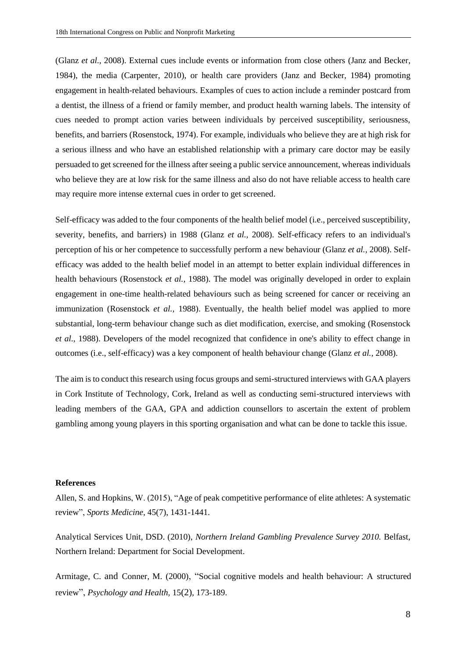(Glanz *et al.,* 2008). External cues include events or information from close others (Janz and Becker, 1984), the media (Carpenter, 2010), or health care providers (Janz and Becker, 1984) promoting engagement in health-related behaviours. Examples of cues to action include a reminder postcard from a dentist, the illness of a friend or family member, and product health warning labels. The intensity of cues needed to prompt action varies between individuals by perceived susceptibility, seriousness, benefits, and barriers (Rosenstock, 1974). For example, individuals who believe they are at high risk for a serious illness and who have an established relationship with a primary care doctor may be easily persuaded to get screened for the illness after seeing a public service announcement, whereas individuals who believe they are at low risk for the same illness and also do not have reliable access to health care may require more intense external cues in order to get screened.

[Self-efficacy](https://en.wikipedia.org/wiki/Self-efficacy) was added to the four components of the health belief model (i.e., perceived susceptibility, severity, benefits, and barriers) in 1988 (Glanz *et al.,* 2008). Self-efficacy refers to an individual's perception of his or her competence to successfully perform a new behaviour (Glanz *et al.,* 2008). Selfefficacy was added to the health belief model in an attempt to better explain individual differences in health behaviours (Rosenstock *et al.,* 1988). The model was originally developed in order to explain engagement in one-time health-related behaviours such as being screened for cancer or receiving an immunization (Rosenstock *et al.,* 1988). Eventually, the health belief model was applied to more substantial, long-term behaviour change such as diet modification, exercise, and smoking (Rosenstock *et al.,* 1988). Developers of the model recognized that confidence in one's ability to effect change in outcomes (i.e., self-efficacy) was a key component of health behaviour change (Glanz *et al.,* 2008).

The aim is to conduct this research using focus groups and semi-structured interviews with GAA players in Cork Institute of Technology, Cork, Ireland as well as conducting semi-structured interviews with leading members of the GAA, GPA and addiction counsellors to ascertain the extent of problem gambling among young players in this sporting organisation and what can be done to tackle this issue.

#### **References**

Allen, S. and Hopkins, W. (2015), "Age of peak competitive performance of elite athletes: A systematic review", *Sports Medicine*, 45(7), 1431-1441.

Analytical Services Unit, DSD. (2010), *Northern Ireland Gambling Prevalence Survey 2010.* Belfast, Northern Ireland: Department for Social Development.

Armitage, C. and Conner, M. (2000), "Social cognitive models and health behaviour: A structured review", *Psychology and Health,* 15(2)*,* 173-189.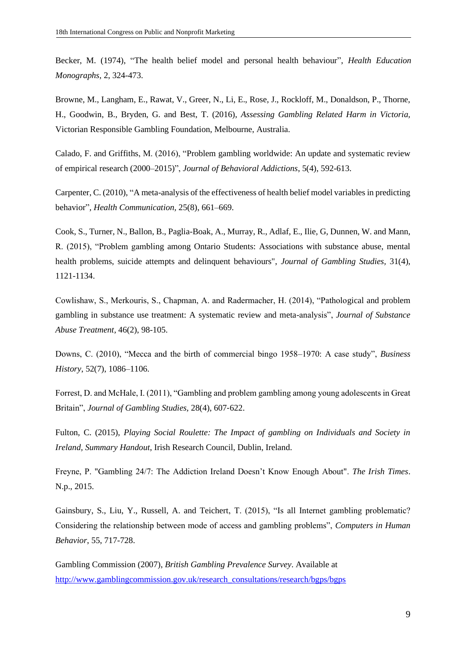Becker, M. (1974), "The health belief model and personal health behaviour", *Health Education Monographs,* 2, 324-473.

Browne, M., Langham, E., Rawat, V., Greer, N., Li, E., Rose, J., Rockloff, M., Donaldson, P., Thorne, H., Goodwin, B., Bryden, G. and Best, T. (2016), *Assessing Gambling Related Harm in Victoria,*  Victorian Responsible Gambling Foundation, Melbourne, Australia.

Calado, F. and Griffiths, M. (2016), "Problem gambling worldwide: An update and systematic review of empirical research (2000–2015)", *Journal of Behavioral Addictions*, 5(4), 592-613.

Carpenter, C. (2010), "A meta-analysis of the effectiveness of health belief model variables in predicting behavior"*, Health Communication,* 25(8), 661–669.

Cook, S., Turner, N., Ballon, B., Paglia-Boak, A., Murray, R., Adlaf, E., Ilie, G, Dunnen, W. and Mann, R. (2015), "Problem gambling among Ontario Students: Associations with substance abuse, mental health problems, suicide attempts and delinquent behaviours", *Journal of Gambling Studies,* 31(4), 1121-1134.

Cowlishaw, S., Merkouris, S., Chapman, A. and Radermacher, H. (2014), "Pathological and problem gambling in substance use treatment: A systematic review and meta-analysis", *Journal of Substance Abuse Treatment,* 46(2), 98-105.

Downs, C. (2010), "Mecca and the birth of commercial bingo 1958–1970: A case study", *Business History*, 52(7), 1086–1106.

Forrest, D. and McHale, I. (2011), "Gambling and problem gambling among young adolescents in Great Britain", *Journal of Gambling Studies,* 28(4), 607‐622.

Fulton, C. (2015), *Playing Social Roulette: The Impact of gambling on Individuals and Society in Ireland, Summary Handout*, Irish Research Council, Dublin, Ireland.

[Freyne, P. "Gambling 24/7: The Addiction Ireland Doesn't Know Enough About".](http://www.irishtimes.com/life-and-style/people/gambling-24-7-the-addiction-ireland-doesn-t-know-enough-about-1.2214278) *The Irish Times*. [N.p., 2015.](http://www.irishtimes.com/life-and-style/people/gambling-24-7-the-addiction-ireland-doesn-t-know-enough-about-1.2214278)

Gainsbury, S., Liu, Y., Russell, A. and Teichert, T. (2015), "Is all Internet gambling problematic? Considering the relationship between mode of access and gambling problems", *Computers in Human Behavior*, 55, 717-728.

Gambling Commission (2007), *British Gambling Prevalence Survey*. Available at [http://www.gamblingcommission.gov.uk/research\\_consultations/research/bgps/bgps](http://www.gamblingcommission.gov.uk/research_consultations/research/bgps/bgps)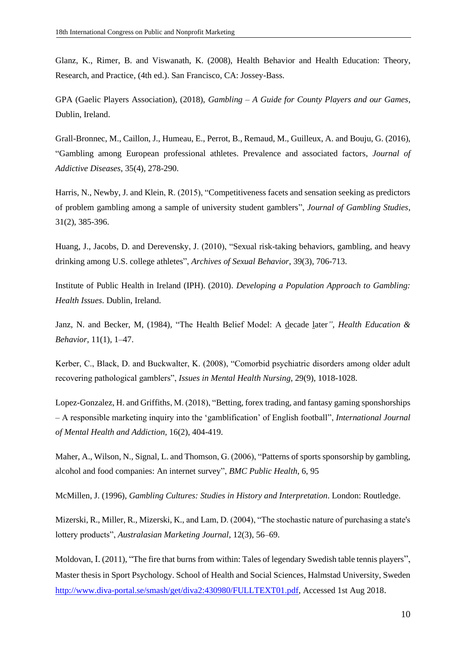Glanz, K., Rimer, B. and Viswanath, K. (2008), [Health Behavior and Health Education: Theory,](http://hbcs.ntu.edu.tw/uploads/bulletin_file/file/568a39ae9ff546da4e02eb72/Health_behavior_and_health_education.pdf)  [Research, and Practice,](http://hbcs.ntu.edu.tw/uploads/bulletin_file/file/568a39ae9ff546da4e02eb72/Health_behavior_and_health_education.pdf) (4th ed.). San Francisco, CA: Jossey-Bass.

GPA (Gaelic Players Association), (2018), *Gambling – A Guide for County Players and our Games*, Dublin, Ireland.

Grall-Bronnec, M., Caillon, J., Humeau, E., Perrot, B., Remaud, M., Guilleux, A. and Bouju, G. (2016), "Gambling among European professional athletes. Prevalence and associated factors, *Journal of Addictive Diseases*, 35(4), 278-290.

Harris, N., Newby, J. and Klein, R. (2015), "Competitiveness facets and sensation seeking as predictors of problem gambling among a sample of university student gamblers", *Journal of Gambling Studies*, 31(2), 385-396.

Huang, J., Jacobs, D. and Derevensky, J. (2010), "Sexual risk-taking behaviors, gambling, and heavy drinking among U.S. college athletes", *Archives of Sexual Behavior*, 39(3), 706-713.

Institute of Public Health in Ireland (IPH). (2010). *Developing a Population Approach to Gambling: Health Issues*. Dublin, Ireland.

Janz, N. and Becker, M, (1984), ["The Health Belief Model: A decade later](http://heb.sagepub.com/content/11/1/1)*", Health Education & Behavior,* 11(1), 1–47.

Kerber, C., Black, D. and Buckwalter, K. (2008), "Comorbid psychiatric disorders among older adult recovering pathological gamblers", *Issues in Mental Health Nursing,* 29(9), 1018-1028.

Lopez-Gonzalez, H. and Griffiths, M. (2018), "Betting, forex trading, and fantasy gaming sponshorships – A responsible marketing inquiry into the 'gamblification' of English football", *International Journal of Mental Health and Addiction*, 16(2), 404-419.

Maher, A., Wilson, N., Signal, L. and Thomson, G. (2006), "Patterns of sports sponsorship by gambling, alcohol and food companies: An internet survey", *BMC Public Health*, 6, 95

McMillen, J. (1996), *Gambling Cultures: Studies in History and Interpretation*. London: Routledge.

Mizerski, R., Miller, R., Mizerski, K., and Lam, D. (2004), "The stochastic nature of purchasing a state's lottery products", *Australasian Marketing Journal*, 12(3), 56–69.

Moldovan, I. (2011), "The fire that burns from within: Tales of legendary Swedish table tennis players", Master thesis in Sport Psychology. School of Health and Social Sciences, Halmstad University, Sweden [http://www.diva-portal.se/smash/get/diva2:430980/FULLTEXT01.pdf,](http://www.diva-portal.se/smash/get/diva2:430980/FULLTEXT01.pdf) Accessed 1st Aug 2018.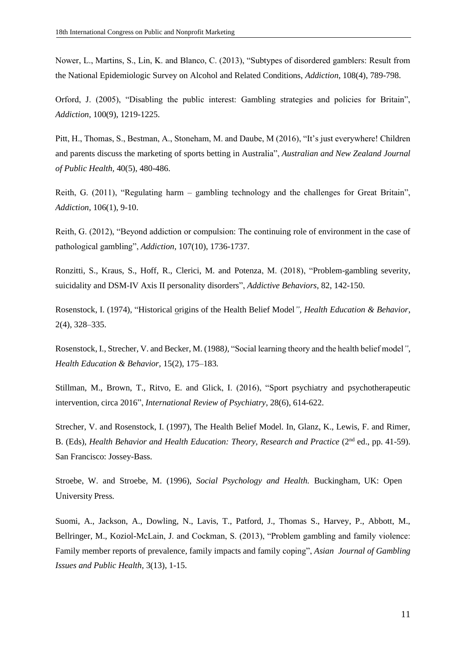Nower, L., Martins, S., Lin, K. and Blanco, C. (2013), "Subtypes of disordered gamblers: Result from the National Epidemiologic Survey on Alcohol and Related Conditions, *Addiction*, 108(4), 789-798.

Orford, J. (2005), "Disabling the public interest: Gambling strategies and policies for Britain", *Addiction*, 100(9), 1219-1225.

Pitt, H., Thomas, S., Bestman, A., Stoneham, M. and Daube, M (2016), "It's just everywhere! Children and parents discuss the marketing of sports betting in Australia", *Australian and New Zealand Journal of Public Health,* 40(5), 480-486.

Reith, G. (2011), "Regulating harm – gambling technology and the challenges for Great Britain", *Addiction*, 106(1), 9-10.

Reith, G. (2012), "Beyond addiction or compulsion: The continuing role of environment in the case of pathological gambling", *Addiction*, 107(10), 1736-1737.

Ronzitti, S., Kraus, S., Hoff, R., Clerici, M. and Potenza, M. (2018), "Problem-gambling severity, suicidality and DSM-IV Axis II personality disorders", *Addictive Behaviors*, 82, 142-150.

Rosenstock, I. (1974), ["Historical origins of the Health Belief Model](http://heb.sagepub.com/content/2/4/328.short)*", Health Education & Behavior*, 2(4), 328–335.

Rosenstock, I., Strecher, V. and Becker, M. (1988*),* ["Social learning theory and the health belief model](http://heb.sagepub.com/content/15/2/175)*"*, *Health Education & Behavior,* 15(2), 175–183*.*

Stillman, M., Brown, T., Ritvo, E. and Glick, I. (2016), "Sport psychiatry and psychotherapeutic intervention, circa 2016", *International Review of Psychiatry*, 28(6), 614-622.

Strecher, V. and Rosenstock, I. (1997), The Health Belief Model. In, Glanz, K., Lewis, F. and Rimer, B. (Eds), *Health Behavior and Health Education: Theory, Research and Practice* (2<sup>nd</sup> ed., pp. 41-59). San Francisco: Jossey-Bass.

Stroebe, W. and Stroebe, M. (1996), *Social Psychology and Health.* Buckingham, UK: Open University Press.

Suomi, A., Jackson, A., Dowling, N., Lavis, T., Patford, J., Thomas S., Harvey, P., Abbott, M., Bellringer, M., Koziol-McLain, J. and Cockman, S. (2013), "Problem gambling and family violence: Family member reports of prevalence, family impacts and family coping", *Asian Journal of Gambling Issues and Public Health,* 3(13), 1-15.